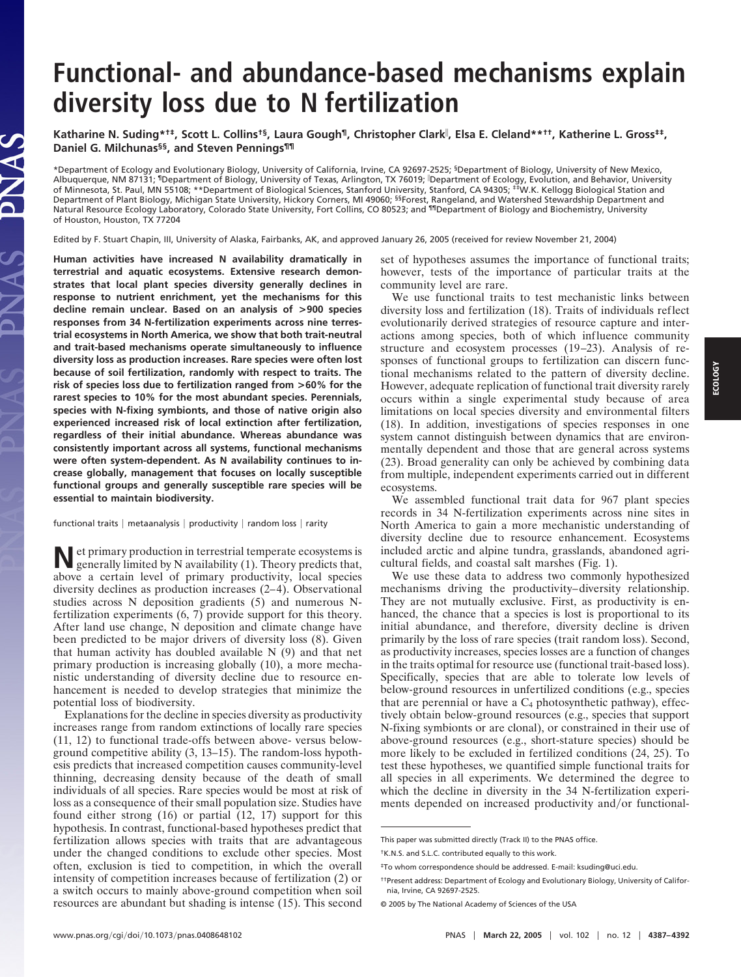## **Functional- and abundance-based mechanisms explain diversity loss due to N fertilization**

**Katharine N. Suding\*†‡, Scott L. Collins†§, Laura Gough¶, Christopher Clark , Elsa E. Cleland\*\*††, Katherine L. Gross‡‡, Daniel G. Milchunas§§, and Steven Pennings¶¶**

\*Department of Ecology and Evolutionary Biology, University of California, Irvine, CA 92697-2525; §Department of Biology, University of New Mexico, Albuquerque, NM 87131; ¶Department of Biology, University of Texas, Arlington, TX 76019; Department of Ecology, Evolution, and Behavior, University of Minnesota, St. Paul, MN 55108; \*\*Department of Biological Sciences, Stanford University, Stanford, CA 94305; ‡‡W.K. Kellogg Biological Station and Department of Plant Biology, Michigan State University, Hickory Corners, MI 49060; <sup>55</sup>Forest, Rangeland, and Watershed Stewardship Department and Natural Resource Ecology Laboratory, Colorado State University, Fort Collins, CO 80523; and <sup>¶¶</sup>Department of Biology and Biochemistry, University of Houston, Houston, TX 77204

Edited by F. Stuart Chapin, III, University of Alaska, Fairbanks, AK, and approved January 26, 2005 (received for review November 21, 2004)

**Human activities have increased N availability dramatically in terrestrial and aquatic ecosystems. Extensive research demonstrates that local plant species diversity generally declines in response to nutrient enrichment, yet the mechanisms for this decline remain unclear. Based on an analysis of >900 species responses from 34 N-fertilization experiments across nine terrestrial ecosystems in North America, we show that both trait-neutral and trait-based mechanisms operate simultaneously to influence diversity loss as production increases. Rare species were often lost because of soil fertilization, randomly with respect to traits. The risk of species loss due to fertilization ranged from >60% for the rarest species to 10% for the most abundant species. Perennials, species with N-fixing symbionts, and those of native origin also experienced increased risk of local extinction after fertilization, regardless of their initial abundance. Whereas abundance was consistently important across all systems, functional mechanisms were often system-dependent. As N availability continues to increase globally, management that focuses on locally susceptible functional groups and generally susceptible rare species will be essential to maintain biodiversity.**

JAS

functional traits | metaanalysis | productivity | random loss | rarity

**N**et primary production in terrestrial temperate ecosystems is generally limited by N availability (1). Theory predicts that, above a certain level of primary productivity, local species diversity declines as production increases (2–4). Observational studies across N deposition gradients (5) and numerous Nfertilization experiments (6, 7) provide support for this theory. After land use change, N deposition and climate change have been predicted to be major drivers of diversity loss (8). Given that human activity has doubled available N (9) and that net primary production is increasing globally (10), a more mechanistic understanding of diversity decline due to resource enhancement is needed to develop strategies that minimize the potential loss of biodiversity.

Explanations for the decline in species diversity as productivity increases range from random extinctions of locally rare species (11, 12) to functional trade-offs between above- versus belowground competitive ability (3, 13–15). The random-loss hypothesis predicts that increased competition causes community-level thinning, decreasing density because of the death of small individuals of all species. Rare species would be most at risk of loss as a consequence of their small population size. Studies have found either strong (16) or partial (12, 17) support for this hypothesis. In contrast, functional-based hypotheses predict that fertilization allows species with traits that are advantageous under the changed conditions to exclude other species. Most often, exclusion is tied to competition, in which the overall intensity of competition increases because of fertilization (2) or a switch occurs to mainly above-ground competition when soil resources are abundant but shading is intense (15). This second set of hypotheses assumes the importance of functional traits; however, tests of the importance of particular traits at the community level are rare.

We use functional traits to test mechanistic links between diversity loss and fertilization (18). Traits of individuals reflect evolutionarily derived strategies of resource capture and interactions among species, both of which influence community structure and ecosystem processes (19–23). Analysis of responses of functional groups to fertilization can discern functional mechanisms related to the pattern of diversity decline. However, adequate replication of functional trait diversity rarely occurs within a single experimental study because of area limitations on local species diversity and environmental filters (18). In addition, investigations of species responses in one system cannot distinguish between dynamics that are environmentally dependent and those that are general across systems (23). Broad generality can only be achieved by combining data from multiple, independent experiments carried out in different ecosystems.

We assembled functional trait data for 967 plant species records in 34 N-fertilization experiments across nine sites in North America to gain a more mechanistic understanding of diversity decline due to resource enhancement. Ecosystems included arctic and alpine tundra, grasslands, abandoned agricultural fields, and coastal salt marshes (Fig. 1).

We use these data to address two commonly hypothesized mechanisms driving the productivity–diversity relationship. They are not mutually exclusive. First, as productivity is enhanced, the chance that a species is lost is proportional to its initial abundance, and therefore, diversity decline is driven primarily by the loss of rare species (trait random loss). Second, as productivity increases, species losses are a function of changes in the traits optimal for resource use (functional trait-based loss). Specifically, species that are able to tolerate low levels of below-ground resources in unfertilized conditions (e.g., species that are perennial or have a  $C_4$  photosynthetic pathway), effectively obtain below-ground resources (e.g., species that support N-fixing symbionts or are clonal), or constrained in their use of above-ground resources (e.g., short-stature species) should be more likely to be excluded in fertilized conditions (24, 25). To test these hypotheses, we quantified simple functional traits for all species in all experiments. We determined the degree to which the decline in diversity in the 34 N-fertilization experiments depended on increased productivity and/or functional-

This paper was submitted directly (Track II) to the PNAS office.

<sup>†</sup>K.N.S. and S.L.C. contributed equally to this work.

<sup>‡</sup>To whom correspondence should be addressed. E-mail: ksuding@uci.edu.

<sup>††</sup>Present address: Department of Ecology and Evolutionary Biology, University of California, Irvine, CA 92697-2525.

<sup>© 2005</sup> by The National Academy of Sciences of the USA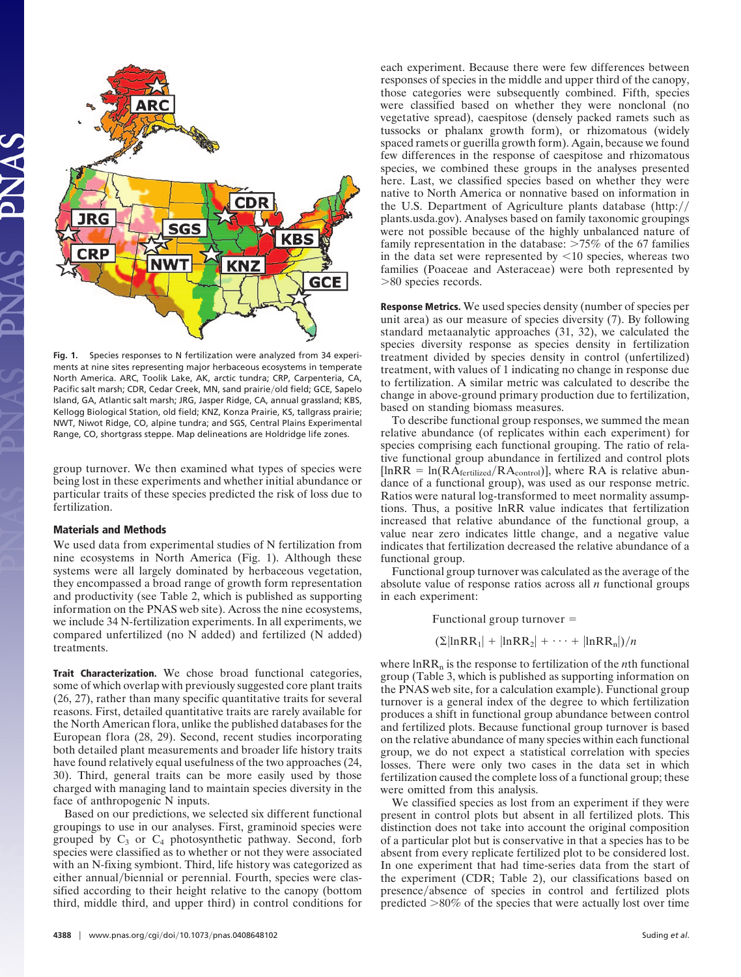

**Fig. 1.** Species responses to N fertilization were analyzed from 34 experiments at nine sites representing major herbaceous ecosystems in temperate North America. ARC, Toolik Lake, AK, arctic tundra; CRP, Carpenteria, CA, Pacific salt marsh; CDR, Cedar Creek, MN, sand prairie/old field; GCE, Sapelo Island, GA, Atlantic salt marsh; JRG, Jasper Ridge, CA, annual grassland; KBS, Kellogg Biological Station, old field; KNZ, Konza Prairie, KS, tallgrass prairie; NWT, Niwot Ridge, CO, alpine tundra; and SGS, Central Plains Experimental Range, CO, shortgrass steppe. Map delineations are Holdridge life zones.

group turnover. We then examined what types of species were being lost in these experiments and whether initial abundance or particular traits of these species predicted the risk of loss due to fertilization.

## **Materials and Methods**

We used data from experimental studies of N fertilization from nine ecosystems in North America (Fig. 1). Although these systems were all largely dominated by herbaceous vegetation, they encompassed a broad range of growth form representation and productivity (see Table 2, which is published as supporting information on the PNAS web site). Across the nine ecosystems, we include 34 N-fertilization experiments. In all experiments, we compared unfertilized (no N added) and fertilized (N added) treatments.

**Trait Characterization.** We chose broad functional categories, some of which overlap with previously suggested core plant traits (26, 27), rather than many specific quantitative traits for several reasons. First, detailed quantitative traits are rarely available for the North American flora, unlike the published databases for the European flora (28, 29). Second, recent studies incorporating both detailed plant measurements and broader life history traits have found relatively equal usefulness of the two approaches (24, 30). Third, general traits can be more easily used by those charged with managing land to maintain species diversity in the face of anthropogenic N inputs.

Based on our predictions, we selected six different functional groupings to use in our analyses. First, graminoid species were grouped by  $C_3$  or  $C_4$  photosynthetic pathway. Second, forb species were classified as to whether or not they were associated with an N-fixing symbiont. Third, life history was categorized as either annual/biennial or perennial. Fourth, species were classified according to their height relative to the canopy (bottom third, middle third, and upper third) in control conditions for

each experiment. Because there were few differences between responses of species in the middle and upper third of the canopy, those categories were subsequently combined. Fifth, species were classified based on whether they were nonclonal (no vegetative spread), caespitose (densely packed ramets such as tussocks or phalanx growth form), or rhizomatous (widely spaced ramets or guerilla growth form). Again, because we found few differences in the response of caespitose and rhizomatous species, we combined these groups in the analyses presented here. Last, we classified species based on whether they were native to North America or nonnative based on information in the U.S. Department of Agriculture plants database (http: plants.usda.gov). Analyses based on family taxonomic groupings were not possible because of the highly unbalanced nature of family representation in the database:  $>75\%$  of the 67 families in the data set were represented by  $\leq 10$  species, whereas two families (Poaceae and Asteraceae) were both represented by 80 species records.

**Response Metrics.** We used species density (number of species per unit area) as our measure of species diversity (7). By following standard metaanalytic approaches (31, 32), we calculated the species diversity response as species density in fertilization treatment divided by species density in control (unfertilized) treatment, with values of 1 indicating no change in response due to fertilization. A similar metric was calculated to describe the change in above-ground primary production due to fertilization, based on standing biomass measures.

To describe functional group responses, we summed the mean relative abundance (of replicates within each experiment) for species comprising each functional grouping. The ratio of relative functional group abundance in fertilized and control plots  $[InRR = ln(RA<sub>fertilized</sub>/RA<sub>control</sub>)],$  where RA is relative abundance of a functional group), was used as our response metric. Ratios were natural log-transformed to meet normality assumptions. Thus, a positive lnRR value indicates that fertilization increased that relative abundance of the functional group, a value near zero indicates little change, and a negative value indicates that fertilization decreased the relative abundance of a functional group.

Functional group turnover was calculated as the average of the absolute value of response ratios across all *n* functional groups in each experiment:

Functional group turnover

$$
(\Sigma|\ln RR_1| + |\ln RR_2| + \cdots + |\ln RR_n|)/n
$$

where  $InRR<sub>n</sub>$  is the response to fertilization of the *n*th functional group (Table 3, which is published as supporting information on the PNAS web site, for a calculation example). Functional group turnover is a general index of the degree to which fertilization produces a shift in functional group abundance between control and fertilized plots. Because functional group turnover is based on the relative abundance of many species within each functional group, we do not expect a statistical correlation with species losses. There were only two cases in the data set in which fertilization caused the complete loss of a functional group; these were omitted from this analysis.

We classified species as lost from an experiment if they were present in control plots but absent in all fertilized plots. This distinction does not take into account the original composition of a particular plot but is conservative in that a species has to be absent from every replicate fertilized plot to be considered lost. In one experiment that had time-series data from the start of the experiment (CDR; Table 2), our classifications based on presence/absence of species in control and fertilized plots predicted  $>80\%$  of the species that were actually lost over time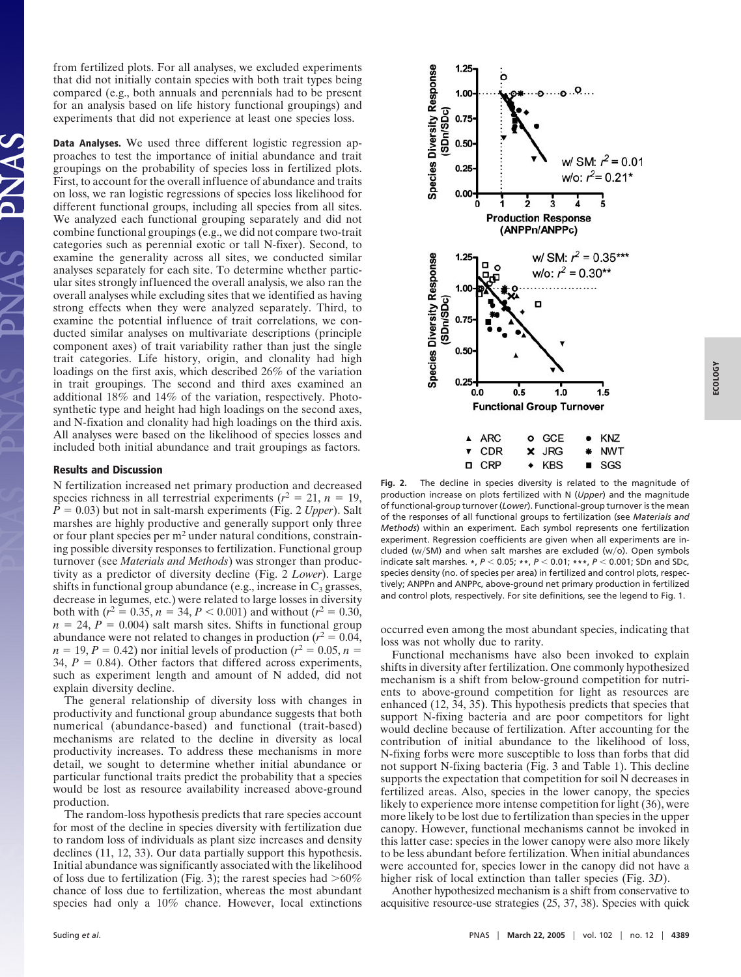from fertilized plots. For all analyses, we excluded experiments that did not initially contain species with both trait types being compared (e.g., both annuals and perennials had to be present for an analysis based on life history functional groupings) and experiments that did not experience at least one species loss.

**Data Analyses.** We used three different logistic regression approaches to test the importance of initial abundance and trait groupings on the probability of species loss in fertilized plots. First, to account for the overall influence of abundance and traits on loss, we ran logistic regressions of species loss likelihood for different functional groups, including all species from all sites. We analyzed each functional grouping separately and did not combine functional groupings (e.g., we did not compare two-trait categories such as perennial exotic or tall N-fixer). Second, to examine the generality across all sites, we conducted similar analyses separately for each site. To determine whether particular sites strongly influenced the overall analysis, we also ran the overall analyses while excluding sites that we identified as having strong effects when they were analyzed separately. Third, to examine the potential influence of trait correlations, we conducted similar analyses on multivariate descriptions (principle component axes) of trait variability rather than just the single trait categories. Life history, origin, and clonality had high loadings on the first axis, which described 26% of the variation in trait groupings. The second and third axes examined an additional 18% and 14% of the variation, respectively. Photosynthetic type and height had high loadings on the second axes, and N-fixation and clonality had high loadings on the third axis. All analyses were based on the likelihood of species losses and included both initial abundance and trait groupings as factors.

## **Results and Discussion**

N fertilization increased net primary production and decreased species richness in all terrestrial experiments ( $r^2 = 21$ ,  $n = 19$ ,  $P = 0.03$ ) but not in salt-marsh experiments (Fig. 2 *Upper*). Salt marshes are highly productive and generally support only three or four plant species per  $m<sup>2</sup>$  under natural conditions, constraining possible diversity responses to fertilization. Functional group turnover (see *Materials and Methods*) was stronger than productivity as a predictor of diversity decline (Fig. 2 *Lower*). Large shifts in functional group abundance (e.g., increase in  $C_3$  grasses, decrease in legumes, etc.) were related to large losses in diversity both with ( $r^2 = 0.35$ ,  $n = 34$ ,  $P < 0.001$ ) and without ( $r^2 = 0.30$ ,  $n = 24$ ,  $P = 0.004$ ) salt marsh sites. Shifts in functional group abundance were not related to changes in production  $(r^2 = 0.04,$  $n = 19, P = 0.42$ ) nor initial levels of production ( $r^2 = 0.05, n = 1$ ) 34,  $P = 0.84$ ). Other factors that differed across experiments, such as experiment length and amount of N added, did not explain diversity decline.

The general relationship of diversity loss with changes in productivity and functional group abundance suggests that both numerical (abundance-based) and functional (trait-based) mechanisms are related to the decline in diversity as local productivity increases. To address these mechanisms in more detail, we sought to determine whether initial abundance or particular functional traits predict the probability that a species would be lost as resource availability increased above-ground production.

The random-loss hypothesis predicts that rare species account for most of the decline in species diversity with fertilization due to random loss of individuals as plant size increases and density declines (11, 12, 33). Our data partially support this hypothesis. Initial abundance was significantly associated with the likelihood of loss due to fertilization (Fig. 3); the rarest species had  $>60\%$ chance of loss due to fertilization, whereas the most abundant species had only a 10% chance. However, local extinctions



**Fig. 2.** The decline in species diversity is related to the magnitude of production increase on plots fertilized with N (*Upper*) and the magnitude of functional-group turnover (*Lower*). Functional-group turnover is the mean of the responses of all functional groups to fertilization (see *Materials and Methods*) within an experiment. Each symbol represents one fertilization experiment. Regression coefficients are given when all experiments are included (w/SM) and when salt marshes are excluded (w/o). Open symbols indicate salt marshes. **\***, *P* - 0.05; **\*\***, *P* - 0.01; **\*\*\***, *P* - 0.001; SDn and SDc, species density (no. of species per area) in fertilized and control plots, respectively; ANPPn and ANPPc, above-ground net primary production in fertilized and control plots, respectively. For site definitions, see the legend to Fig. 1.

occurred even among the most abundant species, indicating that loss was not wholly due to rarity.

Functional mechanisms have also been invoked to explain shifts in diversity after fertilization. One commonly hypothesized mechanism is a shift from below-ground competition for nutrients to above-ground competition for light as resources are enhanced (12, 34, 35). This hypothesis predicts that species that support N-fixing bacteria and are poor competitors for light would decline because of fertilization. After accounting for the contribution of initial abundance to the likelihood of loss, N-fixing forbs were more susceptible to loss than forbs that did not support N-fixing bacteria (Fig. 3 and Table 1). This decline supports the expectation that competition for soil N decreases in fertilized areas. Also, species in the lower canopy, the species likely to experience more intense competition for light (36), were more likely to be lost due to fertilization than species in the upper canopy. However, functional mechanisms cannot be invoked in this latter case: species in the lower canopy were also more likely to be less abundant before fertilization. When initial abundances were accounted for, species lower in the canopy did not have a higher risk of local extinction than taller species (Fig. 3*D*).

Another hypothesized mechanism is a shift from conservative to acquisitive resource-use strategies (25, 37, 38). Species with quick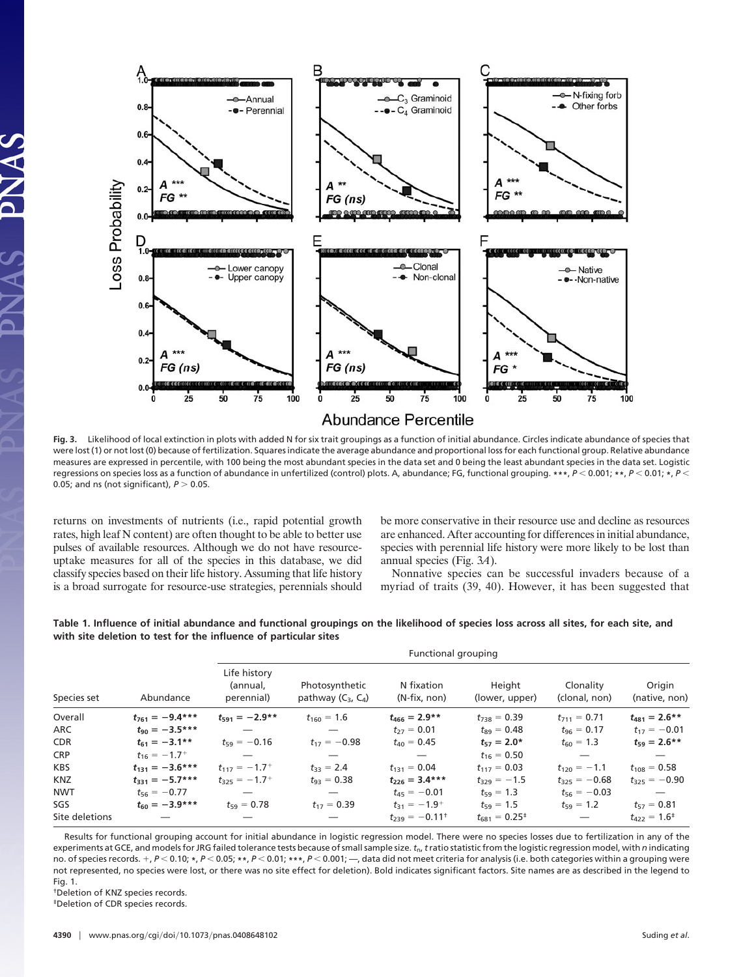

**Fig. 3.** Likelihood of local extinction in plots with added N for six trait groupings as a function of initial abundance. Circles indicate abundance of species that were lost (1) or not lost (0) because of fertilization. Squares indicate the average abundance and proportional loss for each functional group. Relative abundance measures are expressed in percentile, with 100 being the most abundant species in the data set and 0 being the least abundant species in the data set. Logistic regressions on species loss as a function of abundance in unfertilized (control) plots. A, abundance; FG, functional grouping. **\*\*\***, *P* - 0.001; **\*\***, *P* - 0.01; **\***, *P* - 0.05; and ns (not significant),  $P > 0.05$ .

returns on investments of nutrients (i.e., rapid potential growth rates, high leaf N content) are often thought to be able to better use pulses of available resources. Although we do not have resourceuptake measures for all of the species in this database, we did classify species based on their life history. Assuming that life history is a broad surrogate for resource-use strategies, perennials should be more conservative in their resource use and decline as resources are enhanced. After accounting for differences in initial abundance, species with perennial life history were more likely to be lost than annual species (Fig. 3*A*).

Nonnative species can be successful invaders because of a myriad of traits (39, 40). However, it has been suggested that

| Table 1. Influence of initial abundance and functional groupings on the likelihood of species loss across all sites, for each site, and |  |  |
|-----------------------------------------------------------------------------------------------------------------------------------------|--|--|
| with site deletion to test for the influence of particular sites                                                                        |  |  |

| Species set    | Abundance           | Functional grouping                    |                                        |                                |                             |                            |                            |  |
|----------------|---------------------|----------------------------------------|----------------------------------------|--------------------------------|-----------------------------|----------------------------|----------------------------|--|
|                |                     | Life history<br>(annual,<br>perennial) | Photosynthetic<br>pathway $(C_3, C_4)$ | N fixation<br>(N-fix, non)     | Height<br>(lower, upper)    | Clonality<br>(clonal, non) | Origin<br>(native, non)    |  |
| Overall        | $t_{761} = -9.4***$ | $t_{591} = -2.9**$                     | $t_{160} = 1.6$                        | $t_{466} = 2.9**$              | $t_{738} = 0.39$            | $t_{711} = 0.71$           | $t_{481} = 2.6**$          |  |
| <b>ARC</b>     | $t_{90} = -3.5***$  |                                        | $\hspace{0.1mm}-\hspace{0.1mm}$        | $t_{27} = 0.01$                | $t_{89} = 0.48$             | $t_{96} = 0.17$            | $t_{17} = -0.01$           |  |
| <b>CDR</b>     | $t_{61} = -3.1**$   | $t_{59} = -0.16$                       | $t_{17} = -0.98$                       | $t_{40} = 0.45$                | $t_{57} = 2.0*$             | $t_{60} = 1.3$             | $t_{59} = 2.6$ **          |  |
| <b>CRP</b>     | $t_{16} = -1.7^+$   |                                        |                                        |                                | $t_{16} = 0.50$             |                            |                            |  |
| <b>KBS</b>     | $t_{131} = -3.6***$ | $t_{117} = -1.7^+$                     | $t_{33} = 2.4$                         | $t_{131} = 0.04$               | $t_{117} = 0.03$            | $t_{120} = -1.1$           | $t_{108} = 0.58$           |  |
| <b>KNZ</b>     | $t_{331} = -5.7***$ | $t_{325} = -1.7$ <sup>+</sup>          | $t_{93} = 0.38$                        | $t_{226} = 3.4***$             | $t_{329} = -1.5$            | $t_{325} = -0.68$          | $t_{325} = -0.90$          |  |
| <b>NWT</b>     | $t_{56} = -0.77$    |                                        |                                        | $t_{45} = -0.01$               | $t_{59} = 1.3$              | $t_{56} = -0.03$           |                            |  |
| SGS.           | $t_{60} = -3.9***$  | $t_{59} = 0.78$                        | $t_{17} = 0.39$                        | $t_{31} = -1.9^+$              | $t_{59} = 1.5$              | $t_{59} = 1.2$             | $t_{57} = 0.81$            |  |
| Site deletions |                     |                                        |                                        | $t_{239} = -0.11$ <sup>+</sup> | $t_{681} = 0.25^{\ddagger}$ |                            | $t_{422} = 1.6^{\ddagger}$ |  |

Results for functional grouping account for initial abundance in logistic regression model. There were no species losses due to fertilization in any of the experiments at GCE, and models for JRG failed tolerance tests because of small sample size.*t*n,*t*ratio statistic from the logistic regression model, with *n* indicating no. of species records. +,  $P < 0.10$ ; \*,  $P < 0.05$ ; \*\*,  $P < 0.01$ ; \*\*\*,  $P < 0.001$ ; —, data did not meet criteria for analysis (i.e. both categories within a grouping were not represented, no species were lost, or there was no site effect for deletion). Bold indicates significant factors. Site names are as described in the legend to Fig. 1.

†Deletion of KNZ species records.

DNI AC

‡Deletion of CDR species records.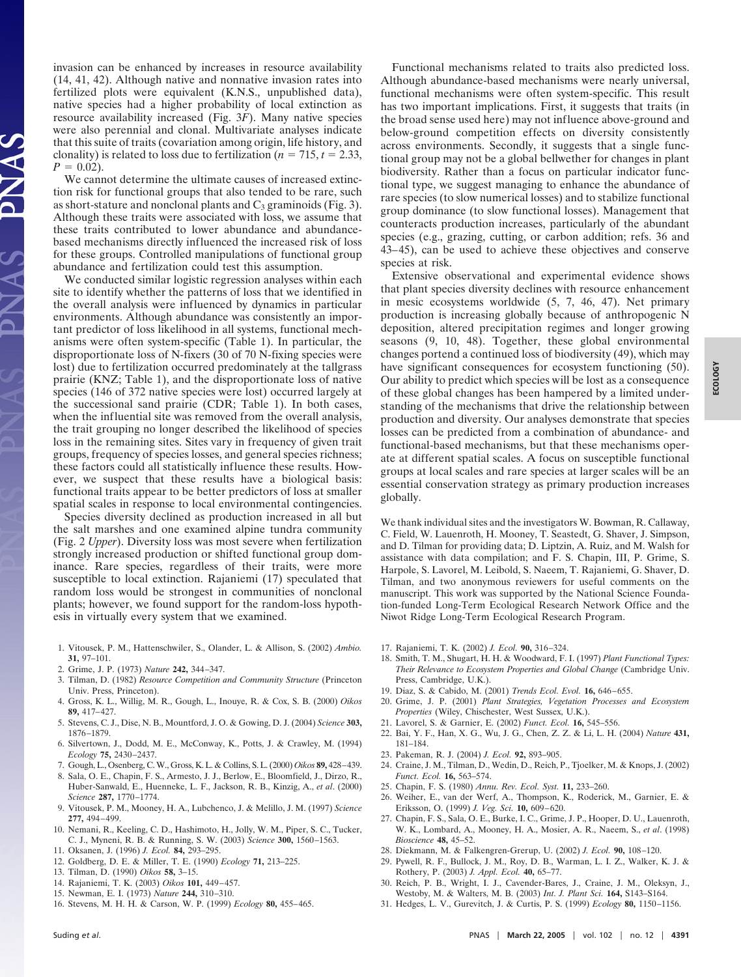invasion can be enhanced by increases in resource availability (14, 41, 42). Although native and nonnative invasion rates into fertilized plots were equivalent (K.N.S., unpublished data), native species had a higher probability of local extinction as resource availability increased (Fig. 3*F*). Many native species were also perennial and clonal. Multivariate analyses indicate that this suite of traits (covariation among origin, life history, and clonality) is related to loss due to fertilization ( $n = 715$ ,  $t = 2.33$ ,  $P = 0.02$ .

We cannot determine the ultimate causes of increased extinction risk for functional groups that also tended to be rare, such as short-stature and nonclonal plants and  $C_3$  graminoids (Fig. 3). Although these traits were associated with loss, we assume that these traits contributed to lower abundance and abundancebased mechanisms directly influenced the increased risk of loss for these groups. Controlled manipulations of functional group abundance and fertilization could test this assumption.

We conducted similar logistic regression analyses within each site to identify whether the patterns of loss that we identified in the overall analysis were influenced by dynamics in particular environments. Although abundance was consistently an important predictor of loss likelihood in all systems, functional mechanisms were often system-specific (Table 1). In particular, the disproportionate loss of N-fixers (30 of 70 N-fixing species were lost) due to fertilization occurred predominately at the tallgrass prairie (KNZ; Table 1), and the disproportionate loss of native species (146 of 372 native species were lost) occurred largely at the successional sand prairie (CDR; Table 1). In both cases, when the influential site was removed from the overall analysis, the trait grouping no longer described the likelihood of species loss in the remaining sites. Sites vary in frequency of given trait groups, frequency of species losses, and general species richness; these factors could all statistically influence these results. However, we suspect that these results have a biological basis: functional traits appear to be better predictors of loss at smaller spatial scales in response to local environmental contingencies.

Species diversity declined as production increased in all but the salt marshes and one examined alpine tundra community (Fig. 2 *Upper*). Diversity loss was most severe when fertilization strongly increased production or shifted functional group dominance. Rare species, regardless of their traits, were more susceptible to local extinction. Rajaniemi (17) speculated that random loss would be strongest in communities of nonclonal plants; however, we found support for the random-loss hypothesis in virtually every system that we examined.

- 1. Vitousek, P. M., Hattenschwiler, S., Olander, L. & Allison, S. (2002) *Ambio.* **31,** 97–101.
- 2. Grime, J. P. (1973) *Nature* **242,** 344–347.
- 3. Tilman, D. (1982) *Resource Competition and Community Structure* (Princeton Univ. Press, Princeton).
- 4. Gross, K. L., Willig, M. R., Gough, L., Inouye, R. & Cox, S. B. (2000) *Oikos* **89,** 417–427.
- 5. Stevens, C. J., Dise, N. B., Mountford, J. O. & Gowing, D. J. (2004) *Science* **303,** 1876–1879.
- 6. Silvertown, J., Dodd, M. E., McConway, K., Potts, J. & Crawley, M. (1994) *Ecology* **75,** 2430–2437.
- 7. Gough, L., Osenberg, C. W., Gross, K. L. & Collins, S. L. (2000) *Oikos* **89,** 428–439.
- 8. Sala, O. E., Chapin, F. S., Armesto, J. J., Berlow, E., Bloomfield, J., Dirzo, R., Huber-Sanwald, E., Huenneke, L. F., Jackson, R. B., Kinzig, A., *et al*. (2000) *Science* **287,** 1770–1774.
- 9. Vitousek, P. M., Mooney, H. A., Lubchenco, J. & Melillo, J. M. (1997) *Science* **277,** 494–499.
- 10. Nemani, R., Keeling, C. D., Hashimoto, H., Jolly, W. M., Piper, S. C., Tucker, C. J., Myneni, R. B. & Running, S. W. (2003) *Science* **300,** 1560–1563.
- 11. Oksanen, J. (1996) *J. Ecol.* **84,** 293–295.
- 12. Goldberg, D. E. & Miller, T. E. (1990) *Ecology* **71,** 213–225.
- 13. Tilman, D. (1990) *Oikos* **58,** 3–15.
- 14. Rajaniemi, T. K. (2003) *Oikos* **101,** 449–457.
- 15. Newman, E. I. (1973) *Nature* **244,** 310–310.
- 16. Stevens, M. H. H. & Carson, W. P. (1999) *Ecology* **80,** 455–465.

Functional mechanisms related to traits also predicted loss. Although abundance-based mechanisms were nearly universal, functional mechanisms were often system-specific. This result has two important implications. First, it suggests that traits (in the broad sense used here) may not influence above-ground and below-ground competition effects on diversity consistently across environments. Secondly, it suggests that a single functional group may not be a global bellwether for changes in plant biodiversity. Rather than a focus on particular indicator functional type, we suggest managing to enhance the abundance of rare species (to slow numerical losses) and to stabilize functional group dominance (to slow functional losses). Management that counteracts production increases, particularly of the abundant species (e.g., grazing, cutting, or carbon addition; refs. 36 and 43–45), can be used to achieve these objectives and conserve species at risk.

Extensive observational and experimental evidence shows that plant species diversity declines with resource enhancement in mesic ecosystems worldwide (5, 7, 46, 47). Net primary production is increasing globally because of anthropogenic N deposition, altered precipitation regimes and longer growing seasons (9, 10, 48). Together, these global environmental changes portend a continued loss of biodiversity (49), which may have significant consequences for ecosystem functioning (50). Our ability to predict which species will be lost as a consequence of these global changes has been hampered by a limited understanding of the mechanisms that drive the relationship between production and diversity. Our analyses demonstrate that species losses can be predicted from a combination of abundance- and functional-based mechanisms, but that these mechanisms operate at different spatial scales. A focus on susceptible functional groups at local scales and rare species at larger scales will be an essential conservation strategy as primary production increases globally.

We thank individual sites and the investigators W. Bowman, R. Callaway, C. Field, W. Lauenroth, H. Mooney, T. Seastedt, G. Shaver, J. Simpson, and D. Tilman for providing data; D. Liptzin, A. Ruiz, and M. Walsh for assistance with data compilation; and F. S. Chapin, III, P. Grime, S. Harpole, S. Lavorel, M. Leibold, S. Naeem, T. Rajaniemi, G. Shaver, D. Tilman, and two anonymous reviewers for useful comments on the manuscript. This work was supported by the National Science Foundation-funded Long-Term Ecological Research Network Office and the Niwot Ridge Long-Term Ecological Research Program.

- 17. Rajaniemi, T. K. (2002) *J. Ecol.* **90,** 316–324.
- 18. Smith, T. M., Shugart, H. H. & Woodward, F. I. (1997) *Plant Functional Types: Their Relevance to Ecosystem Properties and Global Change* (Cambridge Univ. Press, Cambridge, U.K.).
- 19. Diaz, S. & Cabido, M. (2001) *Trends Ecol. Evol.* **16,** 646–655.
- 20. Grime, J. P. (2001) *Plant Strategies, Vegetation Processes and Ecosystem Properties* (Wiley, Chischester, West Sussex, U.K.).
- 21. Lavorel, S. & Garnier, E. (2002) *Funct. Ecol.* **16,** 545–556.
- 22. Bai, Y. F., Han, X. G., Wu, J. G., Chen, Z. Z. & Li, L. H. (2004) *Nature* **431,** 181–184.
- 23. Pakeman, R. J. (2004) *J. Ecol.* **92,** 893–905.
- 24. Craine, J. M., Tilman, D., Wedin, D., Reich, P., Tjoelker, M. & Knops, J. (2002) *Funct. Ecol.* **16,** 563–574.
- 25. Chapin, F. S. (1980) *Annu. Rev. Ecol. Syst.* **11,** 233–260.
- 26. Weiher, E., van der Werf, A., Thompson, K., Roderick, M., Garnier, E. & Eriksson, O. (1999) *J. Veg. Sci.* **10,** 609–620.
- 27. Chapin, F. S., Sala, O. E., Burke, I. C., Grime, J. P., Hooper, D. U., Lauenroth, W. K., Lombard, A., Mooney, H. A., Mosier, A. R., Naeem, S., *et al*. (1998) *Bioscience* **48,** 45–52.
- 28. Diekmann, M. & Falkengren-Grerup, U. (2002) *J. Ecol.* **90,** 108–120.
- 29. Pywell, R. F., Bullock, J. M., Roy, D. B., Warman, L. I. Z., Walker, K. J. & Rothery, P. (2003) *J. Appl. Ecol.* **40,** 65–77.
- 30. Reich, P. B., Wright, I. J., Cavender-Bares, J., Craine, J. M., Oleksyn, J., Westoby, M. & Walters, M. B. (2003) *Int. J. Plant Sci.* **164,** S143–S164.
- 31. Hedges, L. V., Gurevitch, J. & Curtis, P. S. (1999) *Ecology* **80,** 1150–1156.